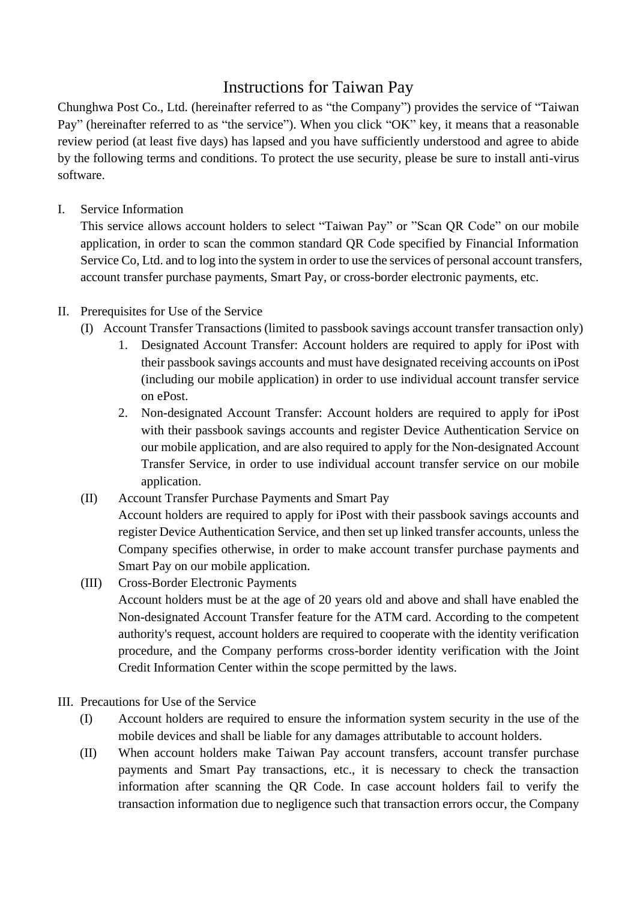## Instructions for Taiwan Pay

Chunghwa Post Co., Ltd. (hereinafter referred to as "the Company") provides the service of "Taiwan Pay" (hereinafter referred to as "the service"). When you click "OK" key, it means that a reasonable review period (at least five days) has lapsed and you have sufficiently understood and agree to abide by the following terms and conditions. To protect the use security, please be sure to install anti-virus software.

## I. Service Information

This service allows account holders to select "Taiwan Pay" or "Scan QR Code" on our mobile application, in order to scan the common standard QR Code specified by Financial Information Service Co, Ltd. and to log into the system in order to use the services of personal account transfers, account transfer purchase payments, Smart Pay, or cross-border electronic payments, etc.

## II. Prerequisites for Use of the Service

- (I) Account Transfer Transactions (limited to passbook savings account transfer transaction only)
	- 1. Designated Account Transfer: Account holders are required to apply for iPost with their passbook savings accounts and must have designated receiving accounts on iPost (including our mobile application) in order to use individual account transfer service on ePost.
	- 2. Non-designated Account Transfer: Account holders are required to apply for iPost with their passbook savings accounts and register Device Authentication Service on our mobile application, and are also required to apply for the Non-designated Account Transfer Service, in order to use individual account transfer service on our mobile application.
- (II) Account Transfer Purchase Payments and Smart Pay Account holders are required to apply for iPost with their passbook savings accounts and register Device Authentication Service, and then set up linked transfer accounts, unless the Company specifies otherwise, in order to make account transfer purchase payments and Smart Pay on our mobile application.
- (III) Cross-Border Electronic Payments Account holders must be at the age of 20 years old and above and shall have enabled the Non-designated Account Transfer feature for the ATM card. According to the competent authority's request, account holders are required to cooperate with the identity verification procedure, and the Company performs cross-border identity verification with the Joint Credit Information Center within the scope permitted by the laws.
- III. Precautions for Use of the Service
	- (I) Account holders are required to ensure the information system security in the use of the mobile devices and shall be liable for any damages attributable to account holders.
	- (II) When account holders make Taiwan Pay account transfers, account transfer purchase payments and Smart Pay transactions, etc., it is necessary to check the transaction information after scanning the QR Code. In case account holders fail to verify the transaction information due to negligence such that transaction errors occur, the Company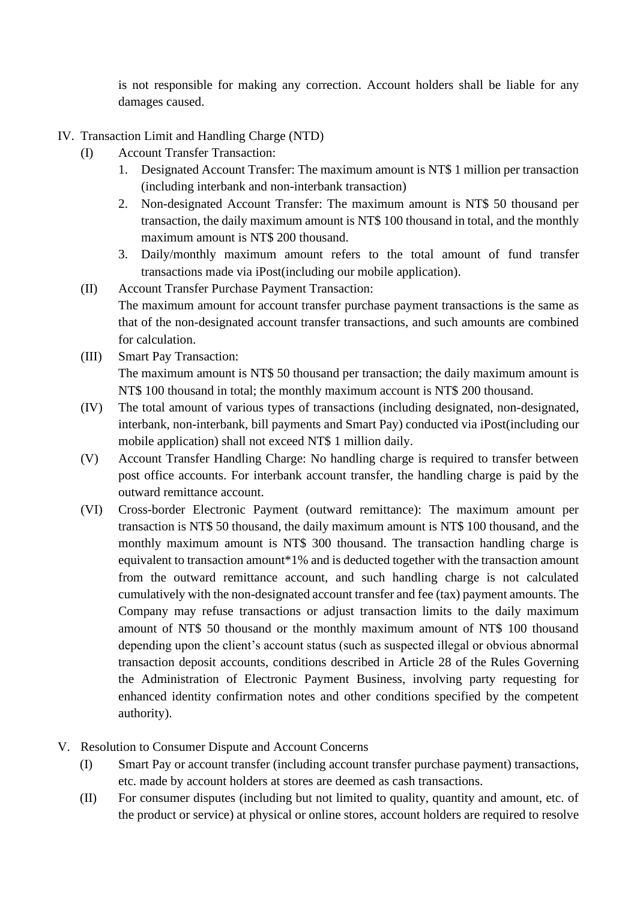is not responsible for making any correction. Account holders shall be liable for any damages caused.

- IV. Transaction Limit and Handling Charge (NTD)
	- (I) Account Transfer Transaction:
		- 1. Designated Account Transfer: The maximum amount is NT\$ 1 million per transaction (including interbank and non-interbank transaction)
		- 2. Non-designated Account Transfer: The maximum amount is NT\$ 50 thousand per transaction, the daily maximum amount is NT\$ 100 thousand in total, and the monthly maximum amount is NT\$ 200 thousand.
		- 3. Daily/monthly maximum amount refers to the total amount of fund transfer transactions made via iPost(including our mobile application).
	- (II) Account Transfer Purchase Payment Transaction: The maximum amount for account transfer purchase payment transactions is the same as that of the non-designated account transfer transactions, and such amounts are combined for calculation.
	- (III) Smart Pay Transaction: The maximum amount is NT\$ 50 thousand per transaction; the daily maximum amount is NT\$ 100 thousand in total; the monthly maximum account is NT\$ 200 thousand.
	- (IV) The total amount of various types of transactions (including designated, non-designated, interbank, non-interbank, bill payments and Smart Pay) conducted via iPost(including our mobile application) shall not exceed NT\$ 1 million daily.
	- (V) Account Transfer Handling Charge: No handling charge is required to transfer between post office accounts. For interbank account transfer, the handling charge is paid by the outward remittance account.
	- (VI) Cross-border Electronic Payment (outward remittance): The maximum amount per transaction is NT\$ 50 thousand, the daily maximum amount is NT\$ 100 thousand, and the monthly maximum amount is NT\$ 300 thousand. The transaction handling charge is equivalent to transaction amount\*1% and is deducted together with the transaction amount from the outward remittance account, and such handling charge is not calculated cumulatively with the non-designated account transfer and fee (tax) payment amounts. The Company may refuse transactions or adjust transaction limits to the daily maximum amount of NT\$ 50 thousand or the monthly maximum amount of NT\$ 100 thousand depending upon the client's account status (such as suspected illegal or obvious abnormal transaction deposit accounts, conditions described in Article 28 of the Rules Governing the Administration of Electronic Payment Business, involving party requesting for enhanced identity confirmation notes and other conditions specified by the competent authority).
- V. Resolution to Consumer Dispute and Account Concerns
	- (I) Smart Pay or account transfer (including account transfer purchase payment) transactions, etc. made by account holders at stores are deemed as cash transactions.
	- (II) For consumer disputes (including but not limited to quality, quantity and amount, etc. of the product or service) at physical or online stores, account holders are required to resolve